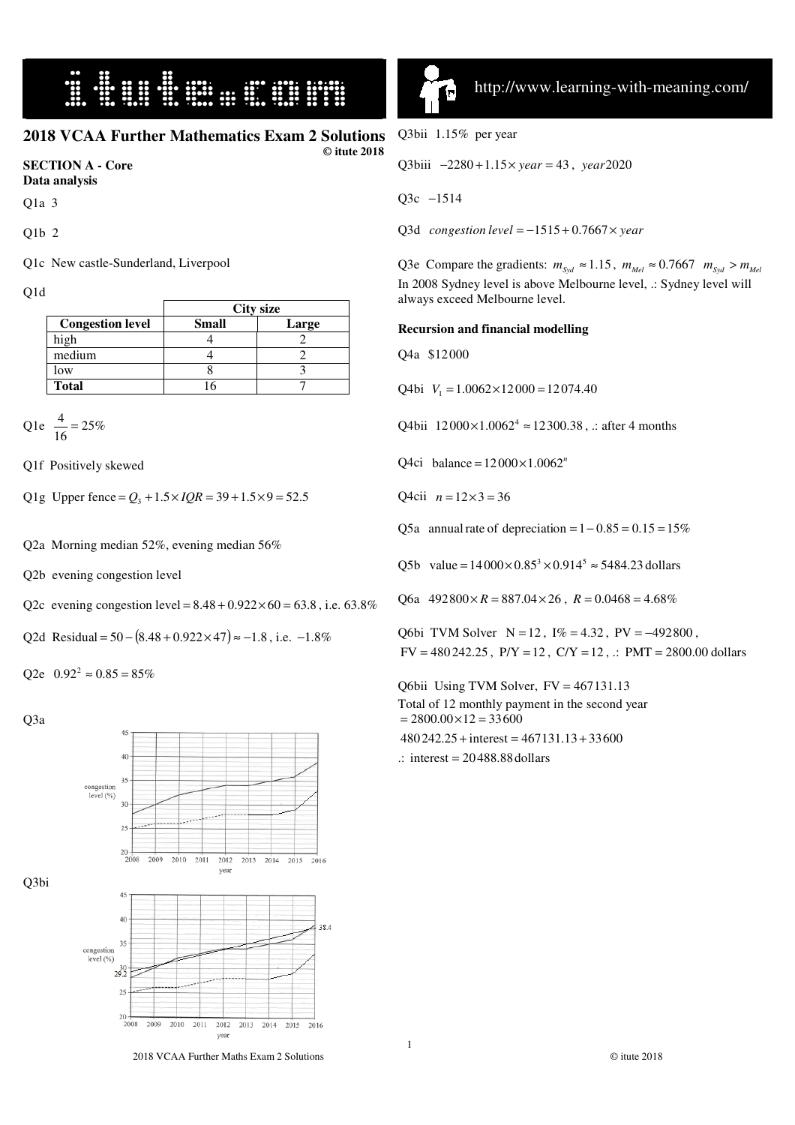### **HURRICH SECTION**

### **2018 VCAA Further Mathematics Exam 2 Solutions**

 **© itute 2018** 

#### **SECTION A - Core Data analysis**

Q1a 3

Q1b 2

Q1c New castle-Sunderland, Liverpool

Q1d

|                         |              | <b>City size</b> |
|-------------------------|--------------|------------------|
| <b>Congestion level</b> | <b>Small</b> | Large            |
| high                    |              |                  |
| medium                  |              |                  |
| low                     |              |                  |
| <b>Total</b>            |              |                  |

Q1e  $\frac{1}{16} = 25\%$  $\frac{4}{2}$  =

Q1f Positively skewed

Q1g Upper fence =  $Q_3$  +  $1.5 \times IQR = 39 + 1.5 \times 9 = 52.5$ 

Q2a Morning median 52%, evening median 56%

Q2b evening congestion level

Q2c evening congestion level =  $8.48 + 0.922 \times 60 = 63.8$ , i.e. 63.8%

Q2d Residual =  $50 - (8.48 + 0.922 \times 47) \approx -1.8$ , i.e.  $-1.8\%$ 

Q2e  $0.92^2 \approx 0.85 = 85\%$ 

Q3a



íп ٠

I

Q3bii 1.15% per year

Q3biii −2280 + 1.15 × *year* = 43, *year* 2020

Q3c  $-1514$ 

Q3d *congestion level* = −1515 + 0.7667 × *year* 

Q3e Compare the gradients:  $m_{Syd} \approx 1.15$ ,  $m_{Mel} \approx 0.7667$   $m_{Syd} > m_{Mel}$ In 2008 Sydney level is above Melbourne level, .: Sydney level will always exceed Melbourne level.

#### **Recursion and financial modelling**

Q4a \$12000

Q4bi  $V_1 = 1.0062 \times 12000 = 12074.40$ 

Q4bii  $12000 \times 1.0062^4 \approx 12300.38$ , .: after 4 months

Q4ci balance =  $12000 \times 1.0062$ <sup>n</sup>

O4cii  $n = 12 \times 3 = 36$ 

Q5a annual rate of depreciation =  $1-0.85 = 0.15 = 15\%$ 

Q5b value =  $14000 \times 0.85^3 \times 0.914^5 \approx 5484.23$  dollars

Q6a  $492800 \times R = 887.04 \times 26$ ,  $R = 0.0468 = 4.68\%$ 

Q6bi TVM Solver N = 12, I% = 4.32, PV = −492800,  $FV = 480242.25$ ,  $P/Y = 12$ ,  $C/Y = 12$ ,  $\therefore$   $PMT = 2800.00$  dollars

Q6bii Using TVM Solver, FV = 467131.13 Total of 12 monthly payment in the second year  $= 2800.00 \times 12 = 33600$  $480\,242.25 + interest = 467131.13 + 33600$ 

 $\therefore$  interest = 20488.88 dollars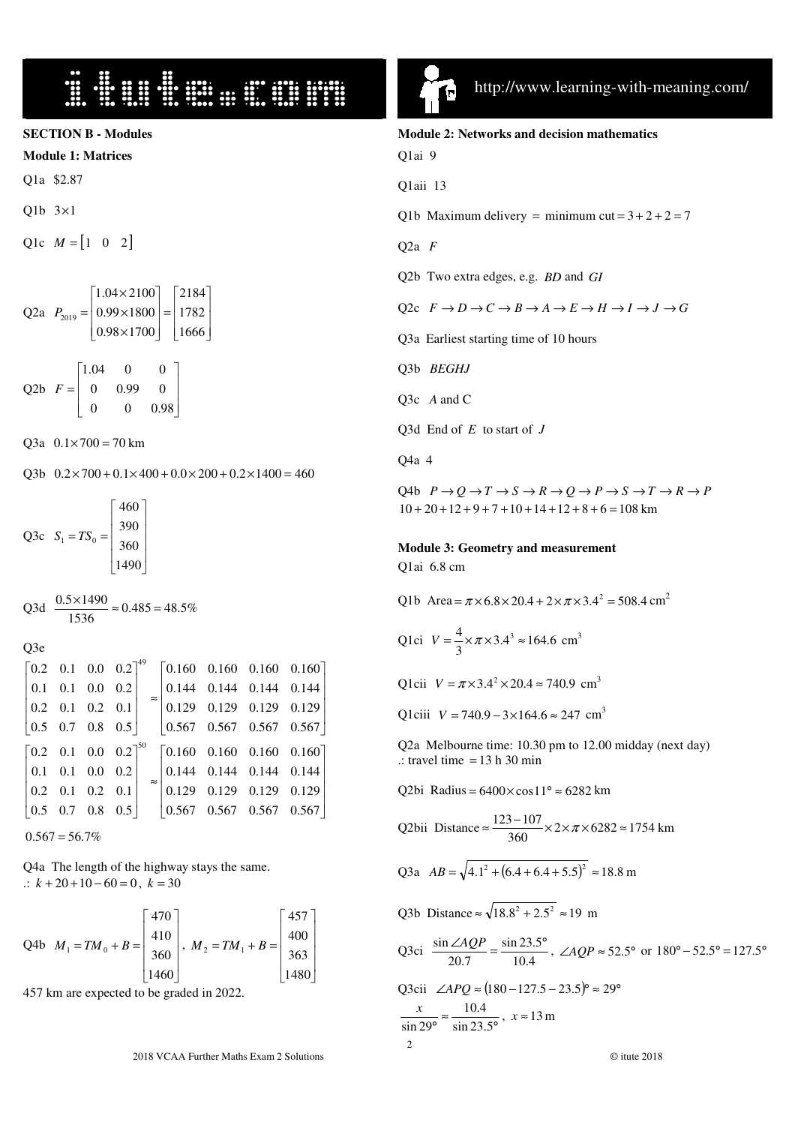# 

**SECTION B - Modules** 

**Module 1: Matrices**

Q1a \$2.87

Q1b 3×1

Q1c  $M = \begin{bmatrix} 1 & 0 & 2 \end{bmatrix}$ 

Q2a 
$$
P_{2019} = \begin{bmatrix} 1.04 \times 2100 \\ 0.99 \times 1800 \\ 0.98 \times 1700 \end{bmatrix} = \begin{bmatrix} 2184 \\ 1782 \\ 1666 \end{bmatrix}
$$

Q2b  $\overline{\phantom{a}}$  $\overline{\phantom{a}}$  $\overline{\phantom{a}}$ J 1  $\mathsf{I}$  $\mathsf{I}$  $\mathbb{I}$ L Г =  $0 \t 0 \t 0.98$  $0 \t 0.99 \t 0$ 1.04 0 0 *F*

Q3a  $0.1 \times 700 = 70$  km

Q3b  $0.2 \times 700 + 0.1 \times 400 + 0.0 \times 200 + 0.2 \times 1400 = 460$ 

Q3c  $\overline{\phantom{a}}$  $\overline{\phantom{a}}$  $\overline{\phantom{a}}$  $\overline{\phantom{a}}$ J 1  $\mathbb{I}$  $\mathbb{I}$  $\mathbb{I}$  $\mathbb{I}$ L Г  $= TS_0 =$ 1490 360 390 460  $S_1 = TS_0$ 

Q3d  $\frac{0.9 \times 1.90}{1536} \approx 0.485 = 48.5\%$  $\frac{0.5 \times 1490}{2.5 \times 10^{14}} \approx 0.485$ 

Q3e

|  |  |  | $\begin{bmatrix} 0.2 & 0.1 & 0.0 & 0.2 \end{bmatrix}^{49}$ $\begin{bmatrix} 0.160 & 0.160 & 0.160 & 0.160 \end{bmatrix}$ |  |
|--|--|--|--------------------------------------------------------------------------------------------------------------------------|--|
|  |  |  | $\begin{vmatrix} 0.1 & 0.1 & 0.0 & 0.2 \end{vmatrix}$ $\begin{vmatrix} 0.144 & 0.144 & 0.144 & 0.144 \end{vmatrix}$      |  |
|  |  |  | $\begin{vmatrix} 0.2 & 0.1 & 0.2 & 0.1 \end{vmatrix}$ $\approx$ 0.129 0.129 0.129 0.129                                  |  |
|  |  |  | $\begin{array}{ ccc c c c c c c c c c c } \hline 0.5 & 0.7 & 0.8 & 0.5 & 0.567 & 0.567 & 0.567 \hline \end{array}$       |  |
|  |  |  | $\begin{bmatrix} 0.2 & 0.1 & 0.0 & 0.2 \end{bmatrix}^{50}$ $\begin{bmatrix} 0.160 & 0.160 & 0.160 & 0.160 \end{bmatrix}$ |  |
|  |  |  | $\begin{array}{ c c c c c c c c c c c } \hline 0.1 & 0.1 & 0.0 & 0.2 & 0.144 & 0.144 & 0.144 \hline \end{array}$         |  |
|  |  |  | $\begin{vmatrix} 0.2 & 0.1 & 0.2 & 0.1 \end{vmatrix}$ = 0.129 0.129 0.129 0.129                                          |  |
|  |  |  |                                                                                                                          |  |

 $0.567 = 56.7\%$ 

Q4a The length of the highway stays the same. .:  $k + 20 + 10 - 60 = 0$ ,  $k = 30$ 

Q4b 
$$
M_1 = TM_0 + B = \begin{bmatrix} 470 \\ 410 \\ 360 \\ 1460 \end{bmatrix}, M_2 = TM_1 + B = \begin{bmatrix} 457 \\ 400 \\ 363 \\ 1480 \end{bmatrix}
$$

457 km are expected to be graded in 2022.



I

| <b>Module 2: Networks and decision mathematics</b>                                                        |
|-----------------------------------------------------------------------------------------------------------|
| Q1ai 9                                                                                                    |
| Q1aii 13                                                                                                  |
| Q1b Maximum delivery = minimum cut = $3 + 2 + 2 = 7$                                                      |
| Q2a $F$                                                                                                   |
| Q2b Two extra edges, e.g. <i>BD</i> and <i>GI</i>                                                         |
| Q2c $F \to D \to C \to B \to A \to E \to H \to I \to J \to G$                                             |
| Q3a Earliest starting time of 10 hours                                                                    |
| Q3b BEGHJ                                                                                                 |
| Q3c A and C                                                                                               |
| Q3d End of $E$ to start of $J$                                                                            |
| Q4a 4                                                                                                     |
| Q4b $P \to Q \to T \to S \to R \to Q \to P \to S \to T \to R \to P$<br>$10+20+12+9+7+10+14+12+8+6=108$ km |
|                                                                                                           |
| <b>Module 3: Geometry and measurement</b><br>Q1ai 6.8 cm                                                  |
| Q1b Area = $\pi \times 6.8 \times 20.4 + 2 \times \pi \times 3.4^2 = 508.4$ cm <sup>2</sup>               |
| Q1ci $V = \frac{4}{3} \times \pi \times 3.4^3 \approx 164.6$ cm <sup>3</sup>                              |
| Q1cii $V = \pi \times 3.4^2 \times 20.4 \approx 740.9$ cm <sup>3</sup>                                    |
| Q1ciii $V = 740.9 - 3 \times 164.6 \approx 247$ cm <sup>3</sup>                                           |
| Q2a Melbourne time: 10.30 pm to 12.00 midday (next day)<br>$\therefore$ travel time = 13 h 30 min         |
| Q2bi Radius = $6400 \times \cos 11^\circ \approx 6282$ km                                                 |
| Q2bii Distance $\approx \frac{123-107}{360} \times 2 \times \pi \times 6282 \approx 1754$ km              |
| Q3a $AB = \sqrt{4.1^2 + (6.4 + 6.4 + 5.5)^2} \approx 18.8$ m                                              |
| Q3b Distance $\approx \sqrt{18.8^2 + 2.5^2} \approx 19$ m                                                 |

Q3ci 
$$
\frac{\sin \angle AQP}{20.7} = \frac{\sin 23.5^{\circ}}{10.4}, \angle AQP \approx 52.5^{\circ} \text{ or } 180^{\circ} - 52.5^{\circ} = 127.5^{\circ}
$$
  
Q3cii  $\angle APQ \approx (180 - 127.5 - 23.5)^{\circ} \approx 29^{\circ}$   

$$
\frac{x}{\sin 29^{\circ}} \approx \frac{10.4}{\sin 23.5^{\circ}}, x \approx 13 \text{ m}
$$